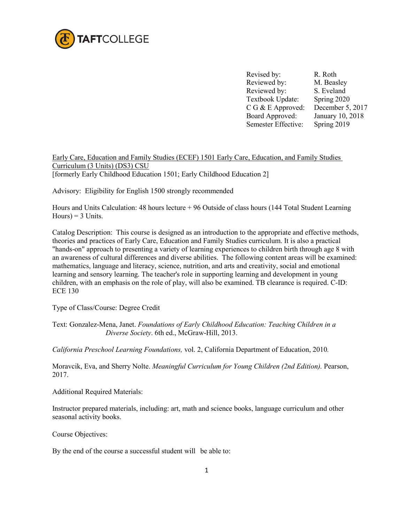

Revised by: R. Roth Reviewed by: M. Beasley Reviewed by: S. Eveland Textbook Update: Spring 2020 C G & E Approved: December 5, 2017 Board Approved: Semester Effective: January 10, 2018 Spring 2019

Early Care, Education and Family Studies (ECEF) 1501 Early Care, Education, and Family Studies Curriculum (3 Units) (DS3) CSU [formerly Early Childhood Education 1501; Early Childhood Education 2]

Advisory: Eligibility for English 1500 strongly recommended

Hours and Units Calculation: 48 hours lecture + 96 Outside of class hours (144 Total Student Learning  $Hours$  = 3 Units.

Catalog Description: This course is designed as an introduction to the appropriate and effective methods, theories and practices of Early Care, Education and Family Studies curriculum. It is also a practical "hands-on" approach to presenting a variety of learning experiences to children birth through age 8 with an awareness of cultural differences and diverse abilities. The following content areas will be examined: mathematics, language and literacy, science, nutrition, and arts and creativity, social and emotional learning and sensory learning. The teacher's role in supporting learning and development in young children, with an emphasis on the role of play, will also be examined. TB clearance is required. C-ID: ECE 130

Type of Class/Course: Degree Credit

Text: Gonzalez-Mena, Janet. *Foundations of Early Childhood Education: Teaching Children in a Diverse Society*. 6th ed., McGraw-Hill, 2013.

*California Preschool Learning Foundations,* vol. 2, California Department of Education, 2010*.* 

Moravcik, Eva, and Sherry Nolte. *Meaningful Curriculum for Young Children (2nd Edition).* Pearson, 2017.

Additional Required Materials:

Instructor prepared materials, including: art, math and science books, language curriculum and other seasonal activity books.

Course Objectives:

By the end of the course a successful student will be able to: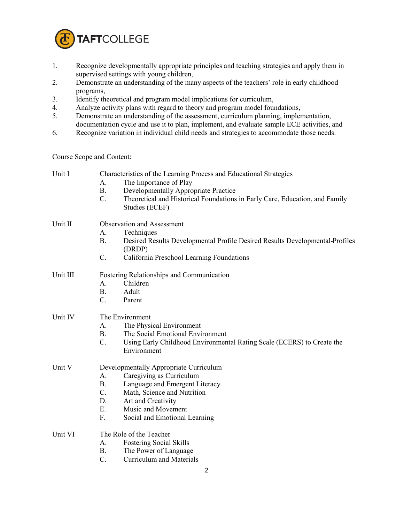

- 1. Recognize developmentally appropriate principles and teaching strategies and apply them in supervised settings with young children,
- 2. Demonstrate an understanding of the many aspects of the teachers' role in early childhood programs,
- 3. Identify theoretical and program model implications for curriculum,
- 4. Analyze activity plans with regard to theory and program model foundations,
- 5. Demonstrate an understanding of the assessment, curriculum planning, implementation, documentation cycle and use it to plan, implement, and evaluate sample ECE activities, and
- 6. Recognize variation in individual child needs and strategies to accommodate those needs.

Course Scope and Content:

| Unit I   | Characteristics of the Learning Process and Educational Strategies                                       |
|----------|----------------------------------------------------------------------------------------------------------|
|          | The Importance of Play<br>A.                                                                             |
|          | Developmentally Appropriate Practice<br><b>B.</b>                                                        |
|          | $C$ .<br>Theoretical and Historical Foundations in Early Care, Education, and Family<br>Studies (ECEF)   |
|          |                                                                                                          |
| Unit II  | Observation and Assessment                                                                               |
|          | A.<br>Techniques                                                                                         |
|          | B <sub>1</sub><br>Desired Results Developmental Profile Desired Results Developmental-Profiles<br>(DRDP) |
|          | California Preschool Learning Foundations<br>C.                                                          |
| Unit III | Fostering Relationships and Communication                                                                |
|          | Children<br>A.                                                                                           |
|          | <b>B.</b><br>Adult                                                                                       |
|          | $C_{\cdot}$<br>Parent                                                                                    |
| Unit IV  | The Environment                                                                                          |
|          | The Physical Environment<br>A.                                                                           |
|          | The Social Emotional Environment<br>B <sub>1</sub>                                                       |
|          | $C$ .<br>Using Early Childhood Environmental Rating Scale (ECERS) to Create the<br>Environment           |
| Unit V   | Developmentally Appropriate Curriculum                                                                   |
|          | Caregiving as Curriculum<br>A.                                                                           |
|          | Language and Emergent Literacy<br><b>B.</b>                                                              |
|          | C.<br>Math, Science and Nutrition                                                                        |
|          | D.<br>Art and Creativity                                                                                 |
|          | Ε.<br>Music and Movement                                                                                 |
|          | F.<br>Social and Emotional Learning                                                                      |
| Unit VI  | The Role of the Teacher                                                                                  |
|          | <b>Fostering Social Skills</b><br>A.                                                                     |
|          | <b>B.</b><br>The Power of Language                                                                       |
|          | $\mathcal{C}$ .<br><b>Curriculum and Materials</b>                                                       |
|          | 2                                                                                                        |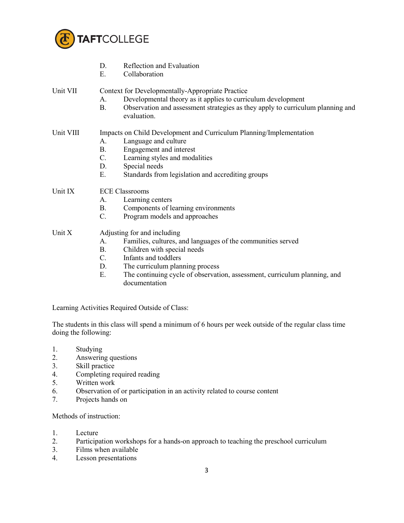

| Context for Developmentally-Appropriate Practice<br>Developmental theory as it applies to curriculum development<br>Observation and assessment strategies as they apply to curriculum planning and            |
|---------------------------------------------------------------------------------------------------------------------------------------------------------------------------------------------------------------|
| Impacts on Child Development and Curriculum Planning/Implementation<br>Language and culture<br>Engagement and interest<br>Learning styles and modalities<br>Standards from legislation and accrediting groups |
| Components of learning environments<br>Program models and approaches                                                                                                                                          |
| Families, cultures, and languages of the communities served<br>Children with special needs<br>The curriculum planning process                                                                                 |
|                                                                                                                                                                                                               |

E. The continuing cycle of observation, assessment, curriculum planning, and documentation

Learning Activities Required Outside of Class:

The students in this class will spend a minimum of 6 hours per week outside of the regular class time doing the following:

- 1. Studying
- 2. Answering questions
- 3. Skill practice<br>4. Completing re
- 4. Completing required reading<br>5. Written work
- 5. Written work
- 6. Observation of or participation in an activity related to course content 7. Projects hands on
- Projects hands on

Methods of instruction:

- 1. Lecture
- 2. Participation workshops for a hands-on approach to teaching the preschool curriculum
- 3. Films when available<br>4. Lesson presentations
- Lesson presentations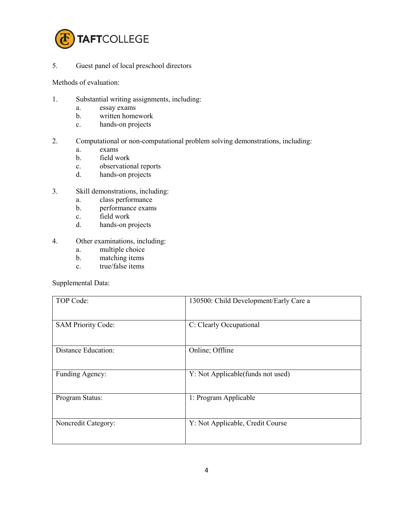

5. Guest panel of local preschool directors

Methods of evaluation:

- 1. Substantial writing assignments, including:
	- a. essay exams
	- b. written homework
	- c. hands-on projects
- 2. Computational or non-computational problem solving demonstrations, including:
	- a. exams
	- b. field work
	- c. observational reports
	- d. hands-on projects
- 3. Skill demonstrations, including:
	- a. class performance
	- b. performance exams
	- c. field work
	- d. hands-on projects
- 4. Other examinations, including:
	- a. multiple choice
	- b. matching items
	- c. true/false items

Supplemental Data:

| TOP Code:                 | 130500: Child Development/Early Care a |
|---------------------------|----------------------------------------|
| <b>SAM Priority Code:</b> | C: Clearly Occupational                |
| Distance Education:       | Online; Offline                        |
| Funding Agency:           | Y: Not Applicable (funds not used)     |
| Program Status:           | 1: Program Applicable                  |
| Noncredit Category:       | Y: Not Applicable, Credit Course       |